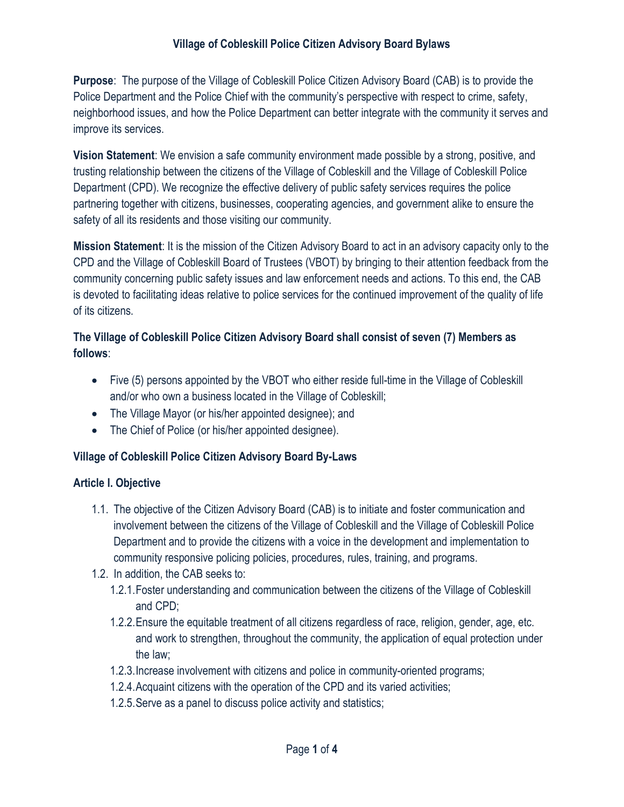## Village of Cobleskill Police Citizen Advisory Board Bylaws

Purpose: The purpose of the Village of Cobleskill Police Citizen Advisory Board (CAB) is to provide the Police Department and the Police Chief with the community's perspective with respect to crime, safety, neighborhood issues, and how the Police Department can better integrate with the community it serves and improve its services.

Vision Statement: We envision a safe community environment made possible by a strong, positive, and trusting relationship between the citizens of the Village of Cobleskill and the Village of Cobleskill Police Department (CPD). We recognize the effective delivery of public safety services requires the police partnering together with citizens, businesses, cooperating agencies, and government alike to ensure the safety of all its residents and those visiting our community.

Mission Statement: It is the mission of the Citizen Advisory Board to act in an advisory capacity only to the CPD and the Village of Cobleskill Board of Trustees (VBOT) by bringing to their attention feedback from the community concerning public safety issues and law enforcement needs and actions. To this end, the CAB is devoted to facilitating ideas relative to police services for the continued improvement of the quality of life of its citizens.

## The Village of Cobleskill Police Citizen Advisory Board shall consist of seven (7) Members as follows:

- Five (5) persons appointed by the VBOT who either reside full-time in the Village of Cobleskill and/or who own a business located in the Village of Cobleskill;
- The Village Mayor (or his/her appointed designee); and
- The Chief of Police (or his/her appointed designee).

### Village of Cobleskill Police Citizen Advisory Board By-Laws

### Article I. Objective

- 1.1. The objective of the Citizen Advisory Board (CAB) is to initiate and foster communication and involvement between the citizens of the Village of Cobleskill and the Village of Cobleskill Police Department and to provide the citizens with a voice in the development and implementation to community responsive policing policies, procedures, rules, training, and programs.
- 1.2. In addition, the CAB seeks to:
	- 1.2.1.Foster understanding and communication between the citizens of the Village of Cobleskill and CPD;
	- 1.2.2.Ensure the equitable treatment of all citizens regardless of race, religion, gender, age, etc. and work to strengthen, throughout the community, the application of equal protection under the law;
	- 1.2.3.Increase involvement with citizens and police in community-oriented programs;
	- 1.2.4.Acquaint citizens with the operation of the CPD and its varied activities;
	- 1.2.5.Serve as a panel to discuss police activity and statistics;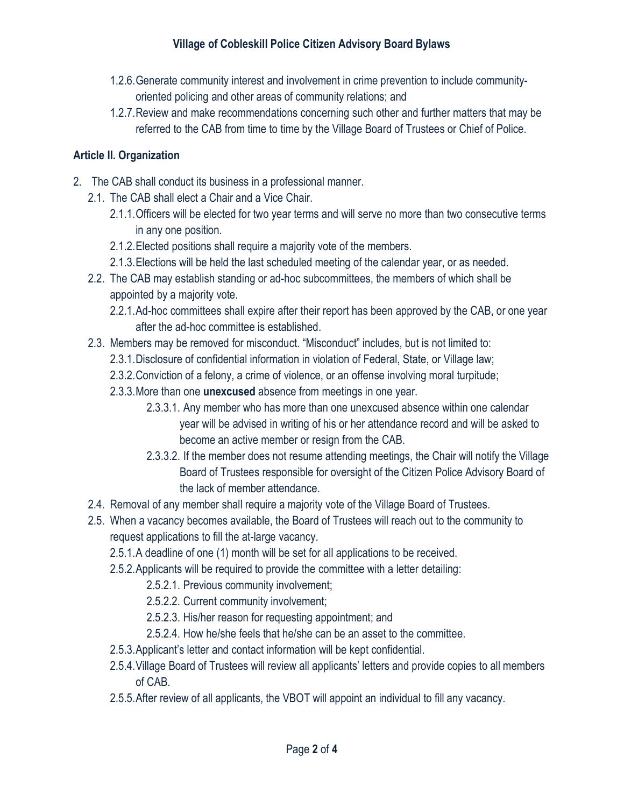## Village of Cobleskill Police Citizen Advisory Board Bylaws

- 1.2.6.Generate community interest and involvement in crime prevention to include communityoriented policing and other areas of community relations; and
- 1.2.7.Review and make recommendations concerning such other and further matters that may be referred to the CAB from time to time by the Village Board of Trustees or Chief of Police.

### Article II. Organization

- 2. The CAB shall conduct its business in a professional manner.
	- 2.1. The CAB shall elect a Chair and a Vice Chair.
		- 2.1.1.Officers will be elected for two year terms and will serve no more than two consecutive terms in any one position.
		- 2.1.2.Elected positions shall require a majority vote of the members.
		- 2.1.3.Elections will be held the last scheduled meeting of the calendar year, or as needed.
	- 2.2. The CAB may establish standing or ad-hoc subcommittees, the members of which shall be appointed by a majority vote.
		- 2.2.1.Ad-hoc committees shall expire after their report has been approved by the CAB, or one year after the ad-hoc committee is established.
	- 2.3. Members may be removed for misconduct. "Misconduct" includes, but is not limited to:
		- 2.3.1.Disclosure of confidential information in violation of Federal, State, or Village law;
		- 2.3.2.Conviction of a felony, a crime of violence, or an offense involving moral turpitude;
		- 2.3.3. More than one unexcused absence from meetings in one year.
			- 2.3.3.1. Any member who has more than one unexcused absence within one calendar year will be advised in writing of his or her attendance record and will be asked to become an active member or resign from the CAB.
			- 2.3.3.2. If the member does not resume attending meetings, the Chair will notify the Village Board of Trustees responsible for oversight of the Citizen Police Advisory Board of the lack of member attendance.
	- 2.4. Removal of any member shall require a majority vote of the Village Board of Trustees.
	- 2.5. When a vacancy becomes available, the Board of Trustees will reach out to the community to request applications to fill the at-large vacancy.
		- 2.5.1.A deadline of one (1) month will be set for all applications to be received.
		- 2.5.2.Applicants will be required to provide the committee with a letter detailing:
			- 2.5.2.1. Previous community involvement;
			- 2.5.2.2. Current community involvement;
			- 2.5.2.3. His/her reason for requesting appointment; and
			- 2.5.2.4. How he/she feels that he/she can be an asset to the committee.
		- 2.5.3.Applicant's letter and contact information will be kept confidential.
		- 2.5.4.Village Board of Trustees will review all applicants' letters and provide copies to all members of CAB.
		- 2.5.5.After review of all applicants, the VBOT will appoint an individual to fill any vacancy.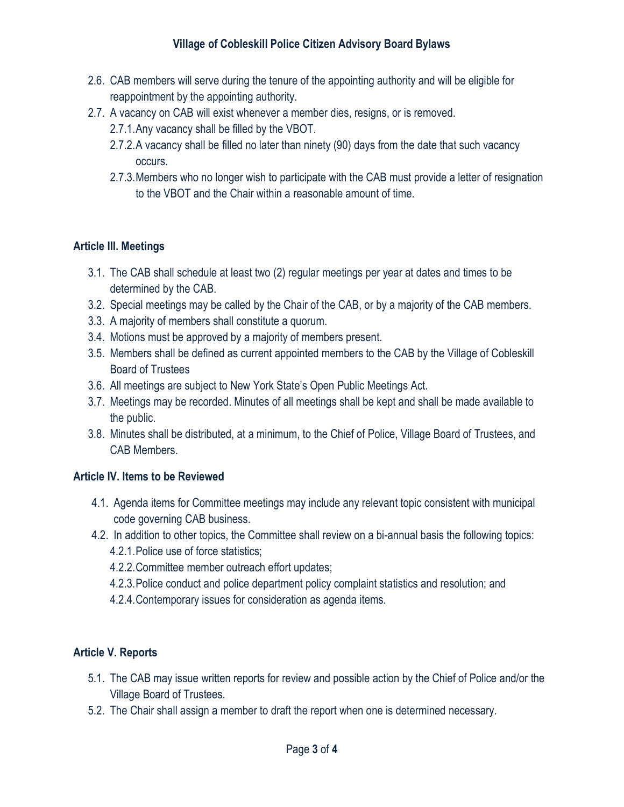- 2.6. CAB members will serve during the tenure of the appointing authority and will be eligible for reappointment by the appointing authority.
- 2.7. A vacancy on CAB will exist whenever a member dies, resigns, or is removed.
	- 2.7.1.Any vacancy shall be filled by the VBOT.
	- 2.7.2.A vacancy shall be filled no later than ninety (90) days from the date that such vacancy occurs.
	- 2.7.3.Members who no longer wish to participate with the CAB must provide a letter of resignation to the VBOT and the Chair within a reasonable amount of time.

# Article III. Meetings

- 3.1. The CAB shall schedule at least two (2) regular meetings per year at dates and times to be determined by the CAB.
- 3.2. Special meetings may be called by the Chair of the CAB, or by a majority of the CAB members.
- 3.3. A majority of members shall constitute a quorum.
- 3.4. Motions must be approved by a majority of members present.
- 3.5. Members shall be defined as current appointed members to the CAB by the Village of Cobleskill Board of Trustees
- 3.6. All meetings are subject to New York State's Open Public Meetings Act.
- 3.7. Meetings may be recorded. Minutes of all meetings shall be kept and shall be made available to the public.
- 3.8. Minutes shall be distributed, at a minimum, to the Chief of Police, Village Board of Trustees, and CAB Members.

# Article IV. Items to be Reviewed

- 4.1. Agenda items for Committee meetings may include any relevant topic consistent with municipal code governing CAB business.
- 4.2. In addition to other topics, the Committee shall review on a bi-annual basis the following topics: 4.2.1.Police use of force statistics;
	- 4.2.2.Committee member outreach effort updates;
	- 4.2.3.Police conduct and police department policy complaint statistics and resolution; and
	- 4.2.4.Contemporary issues for consideration as agenda items.

# Article V. Reports

- 5.1. The CAB may issue written reports for review and possible action by the Chief of Police and/or the Village Board of Trustees.
- 5.2. The Chair shall assign a member to draft the report when one is determined necessary.